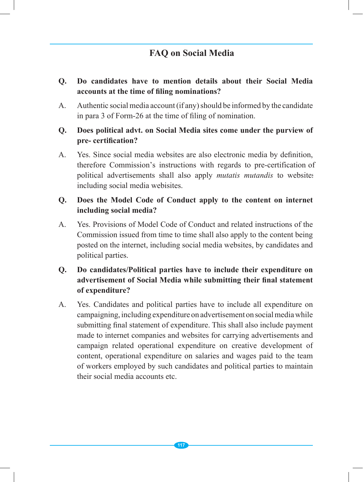# **FAQ on Social Media**

- **Q. Do candidates have to mention details about their Social Media accounts at the time of filing nominations?**
- A. Authentic social media account (if any) should be informed by the candidate in para 3 of Form-26 at the time of filing of nomination.

#### **Q. Does political advt. on Social Media sites come under the purview of pre- certification?**

A. Yes. Since social media websites are also electronic media by definition, therefore Commission's instructions with regards to pre-certification of political advertisements shall also apply *mutatis mutandis* to websites including social media webisites.

#### **Q. Does the Model Code of Conduct apply to the content on internet including social media?**

A. Yes. Provisions of Model Code of Conduct and related instructions of the Commission issued from time to time shall also apply to the content being posted on the internet, including social media websites, by candidates and political parties.

# **Q. Do candidates/Political parties have to include their expenditure on advertisement of Social Media while submitting their final statement of expenditure?**

A. Yes. Candidates and political parties have to include all expenditure on campaigning, including expenditure on advertisement on social media while submitting final statement of expenditure. This shall also include payment made to internet companies and websites for carrying advertisements and campaign related operational expenditure on creative development of content, operational expenditure on salaries and wages paid to the team of workers employed by such candidates and political parties to maintain their social media accounts etc.